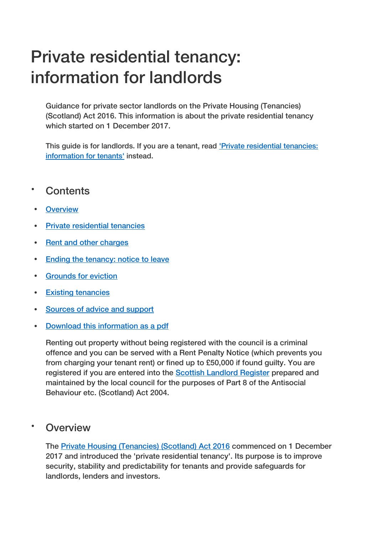# Private residential tenancy: information for landlords

Guidance for private sector landlords on the Private Housing (Tenancies) (Scotland) Act 2016. This information is about the private residential tenancy which started on 1 December 2017.

This guide is for landlords. If you are a tenant, read '*Private residential tenancies*: [information for tenants'](https://beta.gov.scot/publications/private-residential-tenancies-tenants-guide/) instead.

# Contents

- **[Overview](https://beta.gov.scot/publications/private-residential-tenancies-landlords-guide/#overview)**
- [Private residential tenancies](https://beta.gov.scot/publications/private-residential-tenancies-landlords-guide/#private-residential-tenancies)
- [Rent and other charges](https://beta.gov.scot/publications/private-residential-tenancies-landlords-guide/#rent-and-other-charges)
- [Ending the tenancy: notice to leave](https://beta.gov.scot/publications/private-residential-tenancies-landlords-guide/#ending-the-tenancy-notice-to-leave)
- [Grounds for eviction](https://beta.gov.scot/publications/private-residential-tenancies-landlords-guide/#grounds-for-eviction)
- [Existing tenancies](https://beta.gov.scot/publications/private-residential-tenancies-landlords-guide/#existing-tenancies)
- [Sources of advice and support](https://beta.gov.scot/publications/private-residential-tenancies-landlords-guide/#sources-of-advice-and-support)
- [Download this information as a pdf](https://beta.gov.scot/publications/private-residential-tenancies-landlords-guide/#pdf)

Renting out property without being registered with the council is a criminal offence and you can be served with a Rent Penalty Notice (which prevents you from charging your tenant rent) or fined up to £50,000 if found guilty. You are registered if you are entered into the [Scottish Landlord Register](https://www.landlordregistrationscotland.gov.uk/) prepared and maintained by the local council for the purposes of Part 8 of the Antisocial Behaviour etc. (Scotland) Act 2004.

## Overview

The [Private Housing \(Tenancies\) \(Scotland\) Act 2016](http://www.legislation.gov.uk/asp/2016/19/contents/enacted) commenced on 1 December 2017 and introduced the 'private residential tenancy'. Its purpose is to improve security, stability and predictability for tenants and provide safeguards for landlords, lenders and investors.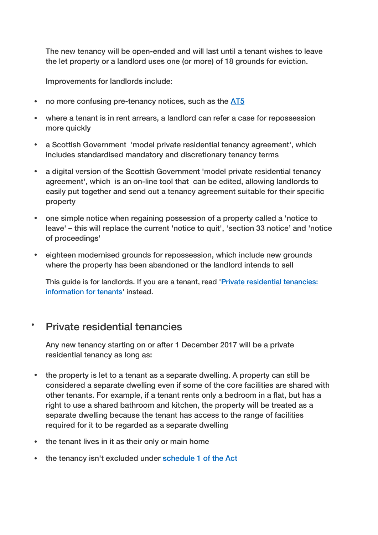The new tenancy will be open-ended and will last until a tenant wishes to leave the let property or a landlord uses one (or more) of 18 grounds for eviction.

Improvements for landlords include:

- no more confusing pre-tenancy notices, such as the [AT5](https://beta.gov.scot/publications/form-at5/)
- where a tenant is in rent arrears, a landlord can refer a case for repossession more quickly
- a Scottish Government 'model private residential tenancy agreement', which includes standardised mandatory and discretionary tenancy terms
- a digital version of the Scottish Government 'model private residential tenancy agreement', which is an on-line tool that can be edited, allowing landlords to easily put together and send out a tenancy agreement suitable for their specific property
- one simple notice when regaining possession of a property called a 'notice to leave' – this will replace the current 'notice to quit', 'section 33 notice' and 'notice of proceedings'
- eighteen modernised grounds for repossession, which include new grounds where the property has been abandoned or the landlord intends to sell

This guide is for landlords. If you are a tenant, read ['Private residential tenancies:](https://beta.gov.scot/publications/private-residential-tenancies-tenants-guide/)  [information for tenants'](https://beta.gov.scot/publications/private-residential-tenancies-tenants-guide/) instead.

## Private residential tenancies

Any new tenancy starting on or after 1 December 2017 will be a private residential tenancy as long as:

- the property is let to a tenant as a separate dwelling. A property can still be considered a separate dwelling even if some of the core facilities are shared with other tenants. For example, if a tenant rents only a bedroom in a flat, but has a right to use a shared bathroom and kitchen, the property will be treated as a separate dwelling because the tenant has access to the range of facilities required for it to be regarded as a separate dwelling
- the tenant lives in it as their only or main home
- the tenancy isn't excluded under [schedule 1 of the Act](http://www.legislation.gov.uk/asp/2016/19/schedule/1/enacted)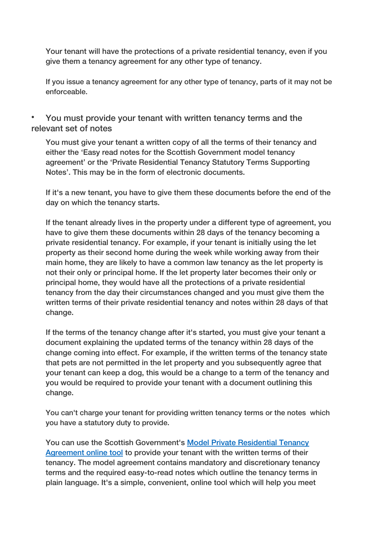Your tenant will have the protections of a private residential tenancy, even if you give them a tenancy agreement for any other type of tenancy.

If you issue a tenancy agreement for any other type of tenancy, parts of it may not be enforceable.

 You must provide your tenant with written tenancy terms and the relevant set of notes

You must give your tenant a written copy of all the terms of their tenancy and either the 'Easy read notes for the Scottish Government model tenancy agreement' or the 'Private Residential Tenancy Statutory Terms Supporting Notes'. This may be in the form of electronic documents.

If it's a new tenant, you have to give them these documents before the end of the day on which the tenancy starts.

If the tenant already lives in the property under a different type of agreement, you have to give them these documents within 28 days of the tenancy becoming a private residential tenancy. For example, if your tenant is initially using the let property as their second home during the week while working away from their main home, they are likely to have a common law tenancy as the let property is not their only or principal home. If the let property later becomes their only or principal home, they would have all the protections of a private residential tenancy from the day their circumstances changed and you must give them the written terms of their private residential tenancy and notes within 28 days of that change.

If the terms of the tenancy change after it's started, you must give your tenant a document explaining the updated terms of the tenancy within 28 days of the change coming into effect. For example, if the written terms of the tenancy state that pets are not permitted in the let property and you subsequently agree that your tenant can keep a dog, this would be a change to a term of the tenancy and you would be required to provide your tenant with a document outlining this change.

You can't charge your tenant for providing written tenancy terms or the notes which you have a statutory duty to provide.

You can use the Scottish Government's [Model Private Residential Tenancy](https://www.mygov.scot/tenancy-agreement-scotland/)  [Agreement online tool](https://www.mygov.scot/tenancy-agreement-scotland/) to provide your tenant with the written terms of their tenancy. The model agreement contains mandatory and discretionary tenancy terms and the required easy-to-read notes which outline the tenancy terms in plain language. It's a simple, convenient, online tool which will help you meet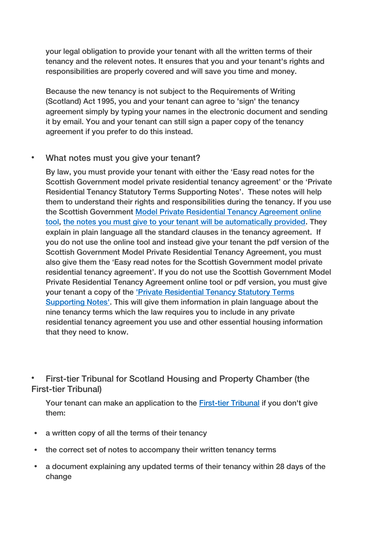your legal obligation to provide your tenant with all the written terms of their tenancy and the relevent notes. It ensures that you and your tenant's rights and responsibilities are properly covered and will save you time and money.

Because the new tenancy is not subject to the Requirements of Writing (Scotland) Act 1995, you and your tenant can agree to 'sign' the tenancy agreement simply by typing your names in the electronic document and sending it by email. You and your tenant can still sign a paper copy of the tenancy agreement if you prefer to do this instead.

## What notes must you give your tenant?

By law, you must provide your tenant with either the 'Easy read notes for the Scottish Government model private residential tenancy agreement' or the 'Private Residential Tenancy Statutory Terms Supporting Notes'. These notes will help them to understand their rights and responsibilities during the tenancy. If you use the Scottish Government [Model Private Residential Tenancy Agreement online](https://www.mygov.scot/tenancy-agreement-scotland/)  [tool,](https://www.mygov.scot/tenancy-agreement-scotland/) [the notes you must give to your tenant will be automatically provided.](https://beta.gov.scot/publications/easy-read-notes-scottish-government-model-private-residential-tenancy-agreement/) They explain in plain language all the standard clauses in the tenancy agreement. If you do not use the online tool and instead give your tenant the pdf version of the Scottish Government Model Private Residential Tenancy Agreement, you must also give them the 'Easy read notes for the Scottish Government model private residential tenancy agreement'. If you do not use the Scottish Government Model Private Residential Tenancy Agreement online tool or pdf version, you must give your tenant a copy of the ['Private Residential Tenancy Statutory Terms](https://beta.gov.scot/publications/private-residential-tenancy-statutory-terms-supporting-notes-essential-housing-information/)  [Supporting Notes'.](https://beta.gov.scot/publications/private-residential-tenancy-statutory-terms-supporting-notes-essential-housing-information/) This will give them information in plain language about the nine tenancy terms which the law requires you to include in any private residential tenancy agreement you use and other essential housing information that they need to know.

 First-tier Tribunal for Scotland Housing and Property Chamber (the First-tier Tribunal)

Your tenant can make an application to the **First-tier Tribunal** if you don't give them:

- a written copy of all the terms of their tenancy
- the correct set of notes to accompany their written tenancy terms
- a document explaining any updated terms of their tenancy within 28 days of the change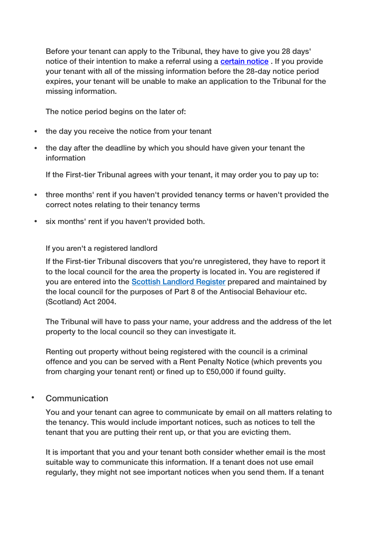Before your tenant can apply to the Tribunal, they have to give you 28 days' notice of their intention to make a referral using a [certain notice](https://beta.gov.scot/publications/private-residential-tenancy-prescribed-notices-forms/) . If you provide your tenant with all of the missing information before the 28-day notice period expires, your tenant will be unable to make an application to the Tribunal for the missing information.

The notice period begins on the later of:

- the day you receive the notice from your tenant
- the day after the deadline by which you should have given your tenant the information

If the First-tier Tribunal agrees with your tenant, it may order you to pay up to:

- three months' rent if you haven't provided tenancy terms or haven't provided the correct notes relating to their tenancy terms
- six months' rent if you haven't provided both.

If you aren't a registered landlord

If the First-tier Tribunal discovers that you're unregistered, they have to report it to the local council for the area the property is located in. You are registered if you are entered into the **Scottish Landlord Register** prepared and maintained by the local council for the purposes of Part 8 of the Antisocial Behaviour etc. (Scotland) Act 2004.

The Tribunal will have to pass your name, your address and the address of the let property to the local council so they can investigate it.

Renting out property without being registered with the council is a criminal offence and you can be served with a Rent Penalty Notice (which prevents you from charging your tenant rent) or fined up to £50,000 if found guilty.

#### Communication

You and your tenant can agree to communicate by email on all matters relating to the tenancy. This would include important notices, such as notices to tell the tenant that you are putting their rent up, or that you are evicting them.

It is important that you and your tenant both consider whether email is the most suitable way to communicate this information. If a tenant does not use email regularly, they might not see important notices when you send them. If a tenant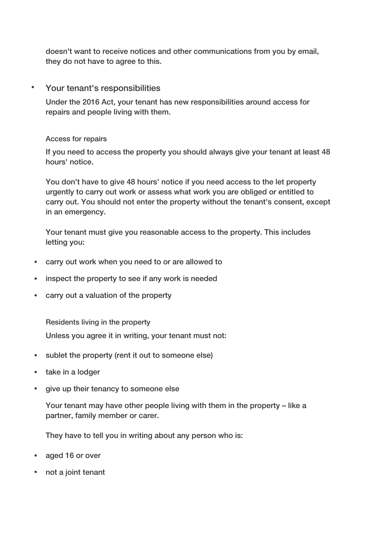doesn't want to receive notices and other communications from you by email, they do not have to agree to this.

#### Your tenant's responsibilities

Under the 2016 Act, your tenant has new responsibilities around access for repairs and people living with them.

#### Access for repairs

If you need to access the property you should always give your tenant at least 48 hours' notice.

You don't have to give 48 hours' notice if you need access to the let property urgently to carry out work or assess what work you are obliged or entitled to carry out. You should not enter the property without the tenant's consent, except in an emergency.

Your tenant must give you reasonable access to the property. This includes letting you:

- carry out work when you need to or are allowed to
- inspect the property to see if any work is needed
- carry out a valuation of the property

Residents living in the property

Unless you agree it in writing, your tenant must not:

- sublet the property (rent it out to someone else)
- take in a lodger
- give up their tenancy to someone else

Your tenant may have other people living with them in the property – like a partner, family member or carer.

They have to tell you in writing about any person who is:

- aged 16 or over
- not a joint tenant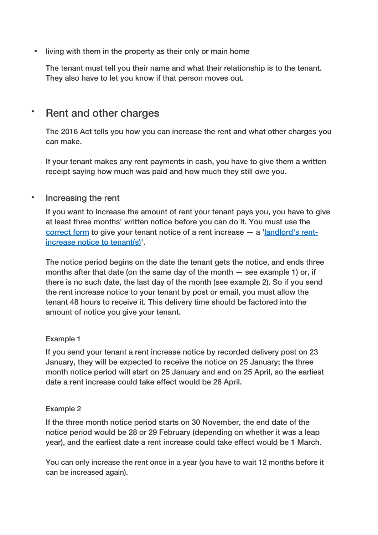• living with them in the property as their only or main home

The tenant must tell you their name and what their relationship is to the tenant. They also have to let you know if that person moves out.

## **·** Rent and other charges

The 2016 Act tells you how you can increase the rent and what other charges you can make.

If your tenant makes any rent payments in cash, you have to give them a written receipt saying how much was paid and how much they still owe you.

#### • Increasing the rent

If you want to increase the amount of rent your tenant pays you, you have to give at least three months' written notice before you can do it. You must use the correct form to give your tenant notice of a rent increase — a ['landlord's rent](https://beta.gov.scot/publications/private-residential-tenancy-prescribed-notices-forms/)[increase notice to tenant\(s\)'](https://beta.gov.scot/publications/private-residential-tenancy-prescribed-notices-forms/).

The notice period begins on the date the tenant gets the notice, and ends three months after that date (on the same day of the month — see example 1) or, if there is no such date, the last day of the month (see example 2). So if you send the rent increase notice to your tenant by post or email, you must allow the tenant 48 hours to receive it. This delivery time should be factored into the amount of notice you give your tenant.

#### Example 1

If you send your tenant a rent increase notice by recorded delivery post on 23 January, they will be expected to receive the notice on 25 January; the three month notice period will start on 25 January and end on 25 April, so the earliest date a rent increase could take effect would be 26 April.

#### Example 2

If the three month notice period starts on 30 November, the end date of the notice period would be 28 or 29 February (depending on whether it was a leap year), and the earliest date a rent increase could take effect would be 1 March.

You can only increase the rent once in a year (you have to wait 12 months before it can be increased again).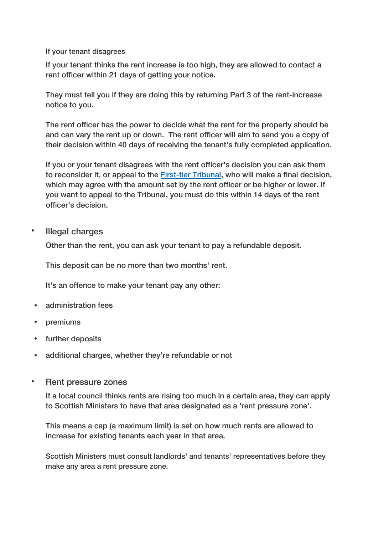If your tenant disagrees

If your tenant thinks the rent increase is too high, they are allowed to contact a rent officer within 21 days of getting your notice.

They must tell you if they are doing this by returning Part 3 of the rent-increase notice to you.

The rent officer has the power to decide what the rent for the property should be and can vary the rent up or down. The rent officer will aim to send you a copy of their decision within 40 days of receiving the tenant's fully completed application.

If you or your tenant disagrees with the rent officer's decision you can ask them to reconsider it, or appeal to the **First-tier Tribunal**, who will make a final decision, which may agree with the amount set by the rent officer or be higher or lower. If you want to appeal to the Tribunal, you must do this within 14 days of the rent officer's decision.

• Illegal charges

Other than the rent, you can ask your tenant to pay a refundable deposit.

This deposit can be no more than two months' rent.

It's an offence to make your tenant pay any other:

- administration fees
- premiums
- further deposits
- additional charges, whether they're refundable or not
- **•** Rent pressure zones

If a local council thinks rents are rising too much in a certain area, they can apply to Scottish Ministers to have that area designated as a 'rent pressure zone'.

This means a cap (a maximum limit) is set on how much rents are allowed to increase for existing tenants each year in that area.

Scottish Ministers must consult landlords' and tenants' representatives before they make any area a rent pressure zone.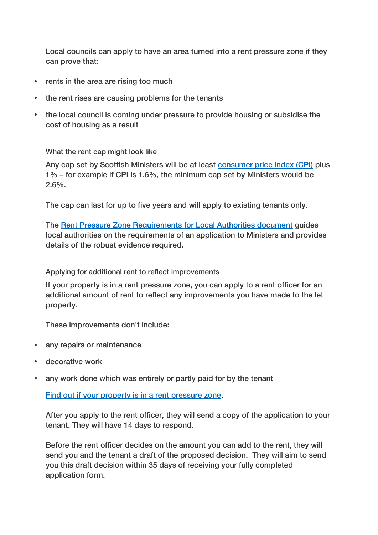Local councils can apply to have an area turned into a rent pressure zone if they can prove that:

- rents in the area are rising too much
- the rent rises are causing problems for the tenants
- the local council is coming under pressure to provide housing or subsidise the cost of housing as a result

#### What the rent cap might look like

Any cap set by Scottish Ministers will be at least [consumer price index \(CPI\)](https://www.ons.gov.uk/economy/inflationandpriceindices) plus 1% – for example if CPI is 1.6%, the minimum cap set by Ministers would be 2.6%.

The cap can last for up to five years and will apply to existing tenants only.

The [Rent Pressure Zone Requirements for Local Authorities document](https://beta.gov.scot/publications/private-residential-tenancies-landlords-guide/undefined/) guides local authorities on the requirements of an application to Ministers and provides details of the robust evidence required.

#### Applying for additional rent to reflect improvements

If your property is in a rent pressure zone, you can apply to a rent officer for an additional amount of rent to reflect any improvements you have made to the let property.

These improvements don't include:

- any repairs or maintenance
- decorative work
- any work done which was entirely or partly paid for by the tenant

[Find out if your property is in a rent pressure zone.](https://www.mygov.scot/rent-pressure-zone-checker/)

After you apply to the rent officer, they will send a copy of the application to your tenant. They will have 14 days to respond.

Before the rent officer decides on the amount you can add to the rent, they will send you and the tenant a draft of the proposed decision. They will aim to send you this draft decision within 35 days of receiving your fully completed application form.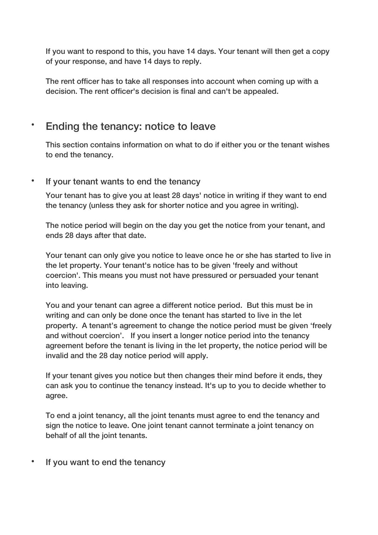If you want to respond to this, you have 14 days. Your tenant will then get a copy of your response, and have 14 days to reply.

The rent officer has to take all responses into account when coming up with a decision. The rent officer's decision is final and can't be appealed.

## Ending the tenancy: notice to leave

This section contains information on what to do if either you or the tenant wishes to end the tenancy.

#### • If your tenant wants to end the tenancy

Your tenant has to give you at least 28 days' notice in writing if they want to end the tenancy (unless they ask for shorter notice and you agree in writing).

The notice period will begin on the day you get the notice from your tenant, and ends 28 days after that date.

Your tenant can only give you notice to leave once he or she has started to live in the let property. Your tenant's notice has to be given 'freely and without coercion'. This means you must not have pressured or persuaded your tenant into leaving.

You and your tenant can agree a different notice period. But this must be in writing and can only be done once the tenant has started to live in the let property. A tenant's agreement to change the notice period must be given 'freely and without coercion'. If you insert a longer notice period into the tenancy agreement before the tenant is living in the let property, the notice period will be invalid and the 28 day notice period will apply.

If your tenant gives you notice but then changes their mind before it ends, they can ask you to continue the tenancy instead. It's up to you to decide whether to agree.

To end a joint tenancy, all the joint tenants must agree to end the tenancy and sign the notice to leave. One joint tenant cannot terminate a joint tenancy on behalf of all the joint tenants.

• If you want to end the tenancy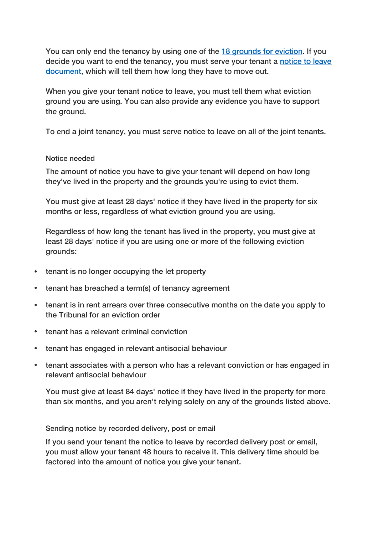You can only end the tenancy by using one of the [18 grounds for eviction.](https://beta.gov.scot/publications/private-residential-tenancies-landlords-guide/#eviction) If you decide you want to end the tenancy, you must serve your tenant a [notice to leave](https://beta.gov.scot/publications/private-residential-tenancy-prescribed-notices-forms/)  [document,](https://beta.gov.scot/publications/private-residential-tenancy-prescribed-notices-forms/) which will tell them how long they have to move out.

When you give your tenant notice to leave, you must tell them what eviction ground you are using. You can also provide any evidence you have to support the ground.

To end a joint tenancy, you must serve notice to leave on all of the joint tenants.

#### Notice needed

The amount of notice you have to give your tenant will depend on how long they've lived in the property and the grounds you're using to evict them.

You must give at least 28 days' notice if they have lived in the property for six months or less, regardless of what eviction ground you are using.

Regardless of how long the tenant has lived in the property, you must give at least 28 days' notice if you are using one or more of the following eviction grounds:

- tenant is no longer occupying the let property
- tenant has breached a term(s) of tenancy agreement
- tenant is in rent arrears over three consecutive months on the date you apply to the Tribunal for an eviction order
- tenant has a relevant criminal conviction
- tenant has engaged in relevant antisocial behaviour
- tenant associates with a person who has a relevant conviction or has engaged in relevant antisocial behaviour

You must give at least 84 days' notice if they have lived in the property for more than six months, and you aren't relying solely on any of the grounds listed above.

Sending notice by recorded delivery, post or email

If you send your tenant the notice to leave by recorded delivery post or email, you must allow your tenant 48 hours to receive it. This delivery time should be factored into the amount of notice you give your tenant.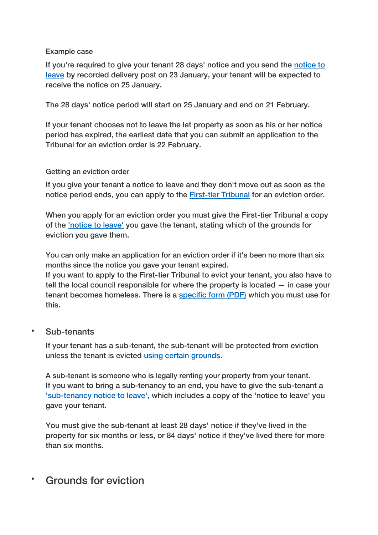#### Example case

If you're required to give your tenant 28 days' notice and you send the notice to [leave](https://beta.gov.scot/publications/private-residential-tenancy-prescribed-notices-forms/) by recorded delivery post on 23 January, your tenant will be expected to receive the notice on 25 January.

The 28 days' notice period will start on 25 January and end on 21 February.

If your tenant chooses not to leave the let property as soon as his or her notice period has expired, the earliest date that you can submit an application to the Tribunal for an eviction order is 22 February.

#### Getting an eviction order

If you give your tenant a notice to leave and they don't move out as soon as the notice period ends, you can apply to the **First-tier Tribunal** for an eviction order.

When you apply for an eviction order you must give the First-tier Tribunal a copy of the ['notice to leave'](https://beta.gov.scot/publications/private-residential-tenancy-prescribed-notices-forms/) you gave the tenant, stating which of the grounds for eviction you gave them.

You can only make an application for an eviction order if it's been no more than six months since the notice you gave your tenant expired.

If you want to apply to the First-tier Tribunal to evict your tenant, you also have to tell the local council responsible for where the property is located — in case your tenant becomes homeless. There is a [specific form \(PDF\)](http://www.legislation.gov.uk/ssi/2008/324/pdfs/ssi_20080324_en.pdf) which you must use for this.

#### Sub-tenants

If your tenant has a sub-tenant, the sub-tenant will be protected from eviction unless the tenant is evicted [using certain grounds.](http://www.legislation.gov.uk/asp/2016/19/section/47/enacted)

A sub-tenant is someone who is legally renting your property from your tenant. If you want to bring a sub-tenancy to an end, you have to give the sub-tenant a ['sub-tenancy notice to leave',](https://beta.gov.scot/publications/private-residential-tenancy-prescribed-notices-forms/) which includes a copy of the 'notice to leave' you gave your tenant.

You must give the sub-tenant at least 28 days' notice if they've lived in the property for six months or less, or 84 days' notice if they've lived there for more than six months.

## Grounds for eviction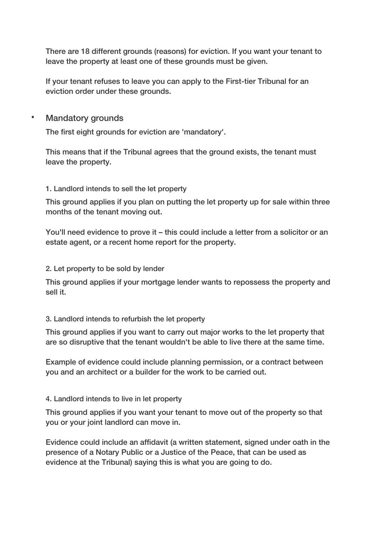There are 18 different grounds (reasons) for eviction. If you want your tenant to leave the property at least one of these grounds must be given.

If your tenant refuses to leave you can apply to the First-tier Tribunal for an eviction order under these grounds.

Mandatory grounds

The first eight grounds for eviction are 'mandatory'.

This means that if the Tribunal agrees that the ground exists, the tenant must leave the property.

#### 1. Landlord intends to sell the let property

This ground applies if you plan on putting the let property up for sale within three months of the tenant moving out.

You'll need evidence to prove it – this could include a letter from a solicitor or an estate agent, or a recent home report for the property.

#### 2. Let property to be sold by lender

This ground applies if your mortgage lender wants to repossess the property and sell it.

#### 3. Landlord intends to refurbish the let property

This ground applies if you want to carry out major works to the let property that are so disruptive that the tenant wouldn't be able to live there at the same time.

Example of evidence could include planning permission, or a contract between you and an architect or a builder for the work to be carried out.

#### 4. Landlord intends to live in let property

This ground applies if you want your tenant to move out of the property so that you or your joint landlord can move in.

Evidence could include an affidavit (a written statement, signed under oath in the presence of a Notary Public or a Justice of the Peace, that can be used as evidence at the Tribunal) saying this is what you are going to do.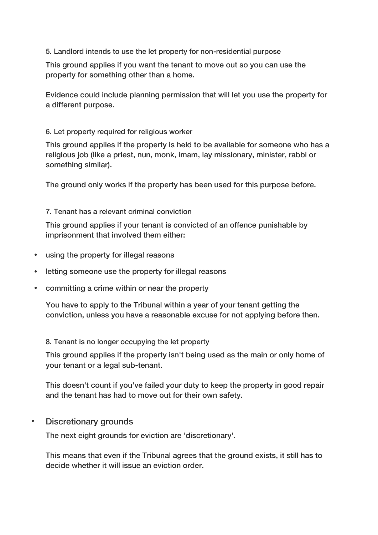#### 5. Landlord intends to use the let property for non-residential purpose

This ground applies if you want the tenant to move out so you can use the property for something other than a home.

Evidence could include planning permission that will let you use the property for a different purpose.

#### 6. Let property required for religious worker

This ground applies if the property is held to be available for someone who has a religious job (like a priest, nun, monk, imam, lay missionary, minister, rabbi or something similar).

The ground only works if the property has been used for this purpose before.

#### 7. Tenant has a relevant criminal conviction

This ground applies if your tenant is convicted of an offence punishable by imprisonment that involved them either:

- using the property for illegal reasons
- letting someone use the property for illegal reasons
- committing a crime within or near the property

You have to apply to the Tribunal within a year of your tenant getting the conviction, unless you have a reasonable excuse for not applying before then.

#### 8. Tenant is no longer occupying the let property

This ground applies if the property isn't being used as the main or only home of your tenant or a legal sub-tenant.

This doesn't count if you've failed your duty to keep the property in good repair and the tenant has had to move out for their own safety.

Discretionary grounds

The next eight grounds for eviction are 'discretionary'.

This means that even if the Tribunal agrees that the ground exists, it still has to decide whether it will issue an eviction order.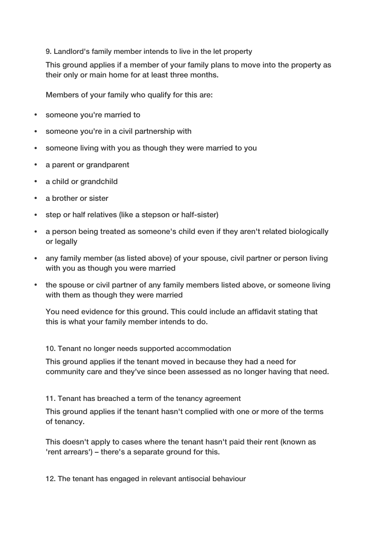#### 9. Landlord's family member intends to live in the let property

This ground applies if a member of your family plans to move into the property as their only or main home for at least three months.

Members of your family who qualify for this are:

- someone you're married to
- someone you're in a civil partnership with
- someone living with you as though they were married to you
- a parent or grandparent
- a child or grandchild
- a brother or sister
- step or half relatives (like a stepson or half-sister)
- a person being treated as someone's child even if they aren't related biologically or legally
- any family member (as listed above) of your spouse, civil partner or person living with you as though you were married
- the spouse or civil partner of any family members listed above, or someone living with them as though they were married

You need evidence for this ground. This could include an affidavit stating that this is what your family member intends to do.

10. Tenant no longer needs supported accommodation

This ground applies if the tenant moved in because they had a need for community care and they've since been assessed as no longer having that need.

11. Tenant has breached a term of the tenancy agreement

This ground applies if the tenant hasn't complied with one or more of the terms of tenancy.

This doesn't apply to cases where the tenant hasn't paid their rent (known as 'rent arrears') – there's a separate ground for this.

12. The tenant has engaged in relevant antisocial behaviour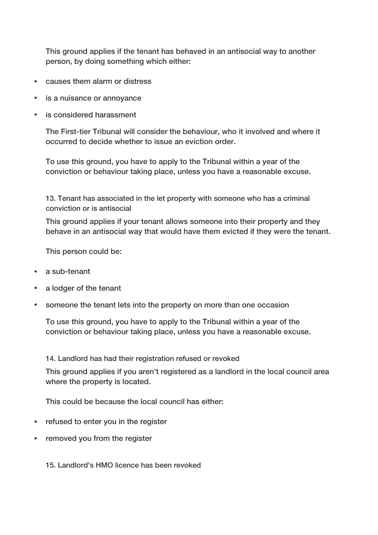This ground applies if the tenant has behaved in an antisocial way to another person, by doing something which either:

- causes them alarm or distress
- is a nuisance or annoyance
- is considered harassment

The First-tier Tribunal will consider the behaviour, who it involved and where it occurred to decide whether to issue an eviction order.

To use this ground, you have to apply to the Tribunal within a year of the conviction or behaviour taking place, unless you have a reasonable excuse.

13. Tenant has associated in the let property with someone who has a criminal conviction or is antisocial

This ground applies if your tenant allows someone into their property and they behave in an antisocial way that would have them evicted if they were the tenant.

This person could be:

- a sub-tenant
- a lodger of the tenant
- someone the tenant lets into the property on more than one occasion

To use this ground, you have to apply to the Tribunal within a year of the conviction or behaviour taking place, unless you have a reasonable excuse.

14. Landlord has had their registration refused or revoked

This ground applies if you aren't registered as a landlord in the local council area where the property is located.

This could be because the local council has either:

- refused to enter you in the register
- removed you from the register

15. Landlord's HMO licence has been revoked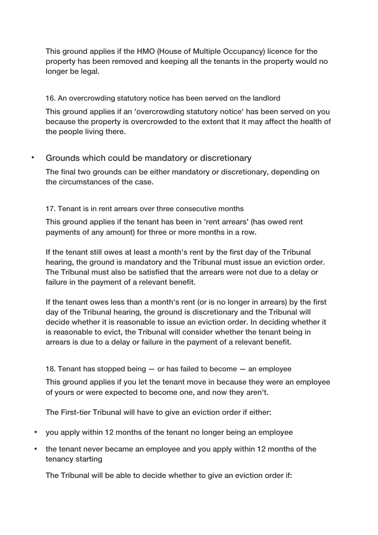This ground applies if the HMO (House of Multiple Occupancy) licence for the property has been removed and keeping all the tenants in the property would no longer be legal.

16. An overcrowding statutory notice has been served on the landlord

This ground applies if an 'overcrowding statutory notice' has been served on you because the property is overcrowded to the extent that it may affect the health of the people living there.

## Grounds which could be mandatory or discretionary

The final two grounds can be either mandatory or discretionary, depending on the circumstances of the case.

#### 17. Tenant is in rent arrears over three consecutive months

This ground applies if the tenant has been in 'rent arrears' (has owed rent payments of any amount) for three or more months in a row.

If the tenant still owes at least a month's rent by the first day of the Tribunal hearing, the ground is mandatory and the Tribunal must issue an eviction order. The Tribunal must also be satisfied that the arrears were not due to a delay or failure in the payment of a relevant benefit.

If the tenant owes less than a month's rent (or is no longer in arrears) by the first day of the Tribunal hearing, the ground is discretionary and the Tribunal will decide whether it is reasonable to issue an eviction order. In deciding whether it is reasonable to evict, the Tribunal will consider whether the tenant being in arrears is due to a delay or failure in the payment of a relevant benefit.

18. Tenant has stopped being — or has failed to become — an employee

This ground applies if you let the tenant move in because they were an employee of yours or were expected to become one, and now they aren't.

The First-tier Tribunal will have to give an eviction order if either:

- you apply within 12 months of the tenant no longer being an employee
- the tenant never became an employee and you apply within 12 months of the tenancy starting

The Tribunal will be able to decide whether to give an eviction order if: